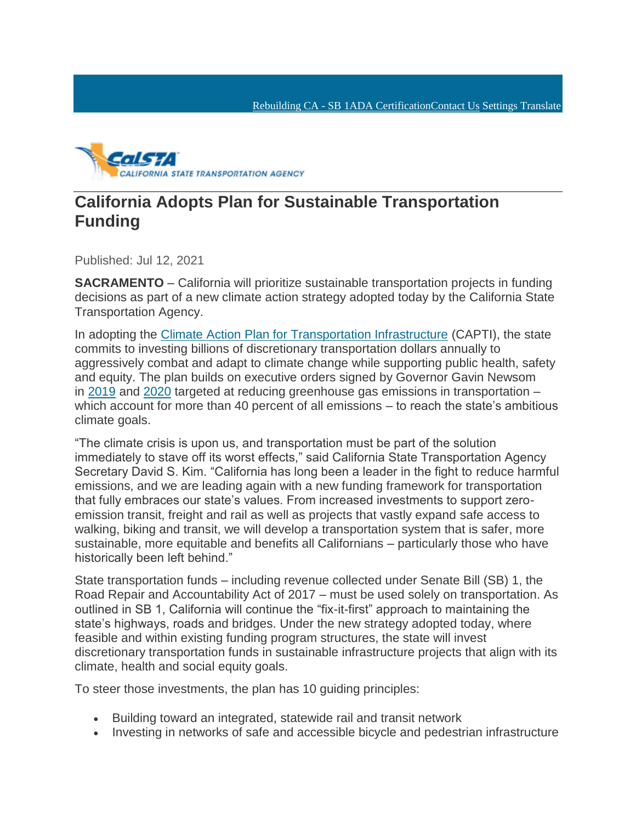[Rebuilding CA -](http://rebuildingca.ca.gov/) SB [1ADA Certification](https://calsta.ca.gov/-/media/calsta-media/documents/calsta-2021-simm-25-b-certification_onfile-a11y.pdf)[Contact Us](https://calsta.ca.gov/about-us/contact-us) Settings Translate



## **California Adopts Plan for Sustainable Transportation Funding**

Published: Jul 12, 2021

**SACRAMENTO** – California will prioritize sustainable transportation projects in funding decisions as part of a new climate action strategy adopted today by the California State Transportation Agency.

In adopting the [Climate Action Plan for Transportation Infrastructure](https://calsta.ca.gov/-/media/calsta-media/documents/capti-july-2021-a11y.pdf) (CAPTI), the state commits to investing billions of discretionary transportation dollars annually to aggressively combat and adapt to climate change while supporting public health, safety and equity. The plan builds on executive orders signed by Governor Gavin Newsom in [2019](https://www.gov.ca.gov/wp-content/uploads/2019/09/9.20.19-Climate-EO-N-19-19.pdf) and [2020](https://www.gov.ca.gov/wp-content/uploads/2020/09/9.23.20-EO-N-79-20-Climate.pdf) targeted at reducing greenhouse gas emissions in transportation – which account for more than 40 percent of all emissions – to reach the state's ambitious climate goals.

"The climate crisis is upon us, and transportation must be part of the solution immediately to stave off its worst effects," said California State Transportation Agency Secretary David S. Kim. "California has long been a leader in the fight to reduce harmful emissions, and we are leading again with a new funding framework for transportation that fully embraces our state's values. From increased investments to support zeroemission transit, freight and rail as well as projects that vastly expand safe access to walking, biking and transit, we will develop a transportation system that is safer, more sustainable, more equitable and benefits all Californians – particularly those who have historically been left behind."

State transportation funds – including revenue collected under Senate Bill (SB) 1, the Road Repair and Accountability Act of 2017 – must be used solely on transportation. As outlined in SB 1, California will continue the "fix-it-first" approach to maintaining the state's highways, roads and bridges. Under the new strategy adopted today, where feasible and within existing funding program structures, the state will invest discretionary transportation funds in sustainable infrastructure projects that align with its climate, health and social equity goals.

To steer those investments, the plan has 10 guiding principles:

- Building toward an integrated, statewide rail and transit network
- Investing in networks of safe and accessible bicycle and pedestrian infrastructure